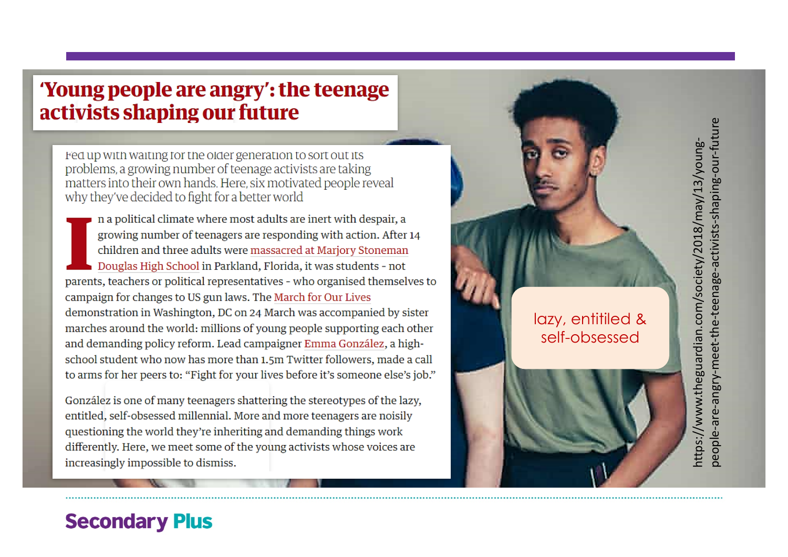## 'Young people are angry': the teenage activists shaping our future

Fed up with waiting for the older generation to sort out its problems, a growing number of teenage activists are taking matters into their own hands. Here, six motivated people reveal why they've decided to fight for a better world

n a political climate where most adults are inert with despair, a growing number of teenagers are responding with action. After 14 children and three adults were massacred at Marjory Stoneman Douglas High School in Parkland, Florida, it was students - not parents, teachers or political representatives - who organised themselves to campaign for changes to US gun laws. The March for Our Lives demonstration in Washington, DC on 24 March was accompanied by sister marches around the world: millions of young people supporting each other and demanding policy reform. Lead campaigner Emma González, a highschool student who now has more than 1.5m Twitter followers, made a call to arms for her peers to: "Fight for your lives before it's someone else's job."

González is one of many teenagers shattering the stereotypes of the lazy, entitled, self-obsessed millennial. More and more teenagers are noisily questioning the world they're inheriting and demanding things work differently. Here, we meet some of the young activists whose voices are increasingly impossible to dismiss.

oeople-are-angry-meet-the-teenage-activists-shaping-our-future https://www.theguardian.com/society/2018/may/13/young-

lazy, entitiled &

self-obsessed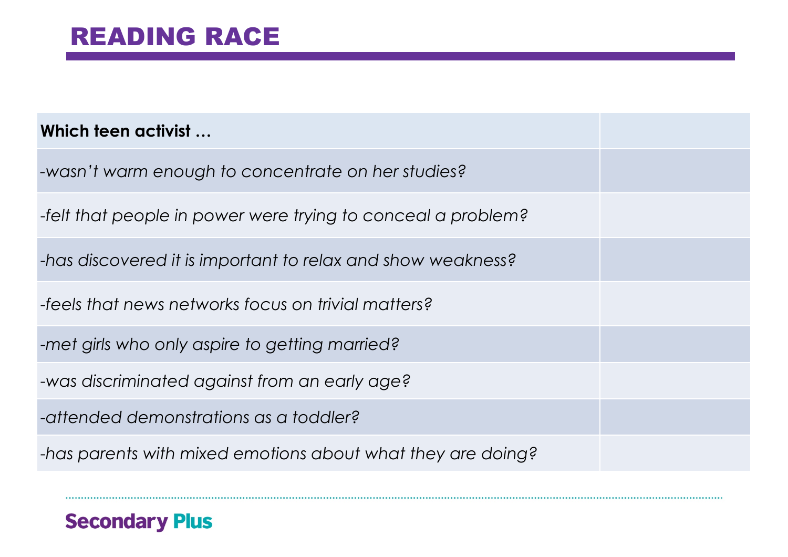# READING RACE

| Which teen activist                                          |  |
|--------------------------------------------------------------|--|
| -wasn't warm enough to concentrate on her studies?           |  |
| -felt that people in power were trying to conceal a problem? |  |
| -has discovered it is important to relax and show weakness?  |  |
| -feels that news networks focus on trivial matters?          |  |
| -met girls who only aspire to getting married?               |  |
| -was discriminated against from an early age?                |  |
| -attended demonstrations as a toddler?                       |  |
| -has parents with mixed emotions about what they are doing?  |  |

## **Secondary Plus**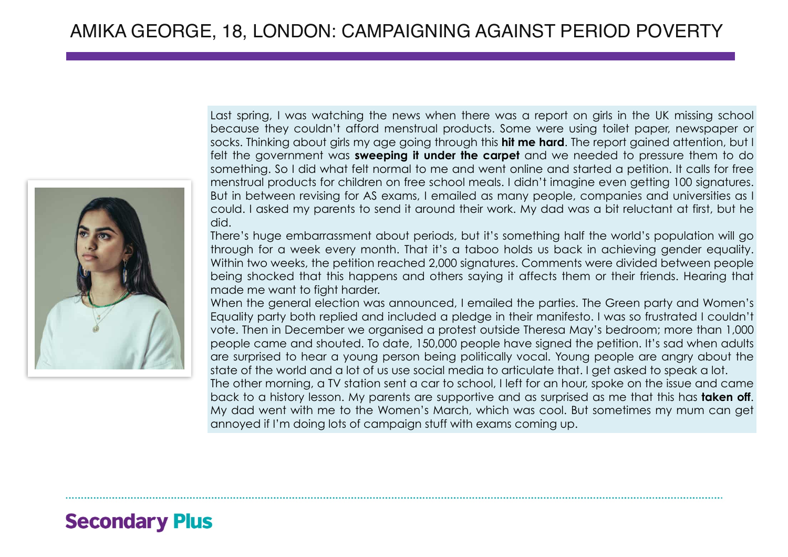

Last spring, I was watching the news when there was a report on girls in the UK missing school because they couldn't afford menstrual products. Some were using toilet paper, newspaper or socks. Thinking about girls my age going through this **hit me hard**. The report gained attention, but I felt the government was **sweeping it under the carpet** and we needed to pressure them to do something. So I did what felt normal to me and went online and started a petition. It calls for free menstrual products for children on free school meals. I didn't imagine even getting 100 signatures. But in between revising for AS exams, I emailed as many people, companies and universities as I could. I asked my parents to send it around their work. My dad was a bit reluctant at first, but he did.

There's huge embarrassment about periods, but it's something half the world's population will go through for a week every month. That it's a taboo holds us back in achieving gender equality. Within two weeks, the petition reached 2,000 signatures. Comments were divided between people being shocked that this happens and others saying it affects them or their friends. Hearing that made me want to fight harder.

When the general election was announced, I emailed the parties. The Green party and Women's Equality party both replied and included a pledge in their manifesto. I was so frustrated I couldn't vote. Then in December we organised a protest outside Theresa May's bedroom; more than 1,000 people came and shouted. To date, 150,000 people have signed the petition. It's sad when adults are surprised to hear a young person being politically vocal. Young people are angry about the state of the world and a lot of us use social media to articulate that. I get asked to speak a lot. The other morning, a TV station sent a car to school, I left for an hour, spoke on the issue and came back to a history lesson. My parents are supportive and as surprised as me that this has **taken off**. My dad went with me to the Women's March, which was cool. But sometimes my mum can get annoyed if I'm doing lots of campaign stuff with exams coming up.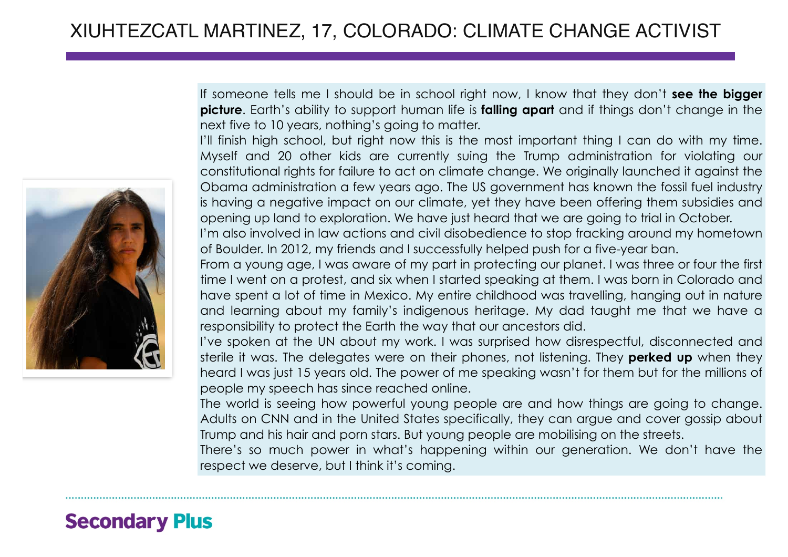If someone tells me I should be in school right now, I know that they don't **see the bigger picture**. Earth's ability to support human life is **falling apart** and if things don't change in the next five to 10 years, nothing's going to matter.

I'll finish high school, but right now this is the most important thing I can do with my time. Myself and 20 other kids are currently suing the Trump administration for violating our constitutional rights for failure to act on climate change. We originally launched it against the Obama administration a few years ago. The US government has known the fossil fuel industry is having a negative impact on our climate, yet they have been offering them subsidies and opening up land to exploration. We have just heard that we are going to trial in October.

I'm also involved in law actions and civil disobedience to stop fracking around my hometown of Boulder. In 2012, my friends and I successfully helped push for a five-year ban.

From a young age, I was aware of my part in protecting our planet. I was three or four the first time I went on a protest, and six when I started speaking at them. I was born in Colorado and have spent a lot of time in Mexico. My entire childhood was travelling, hanging out in nature and learning about my family's indigenous heritage. My dad taught me that we have a responsibility to protect the Earth the way that our ancestors did.

I've spoken at the UN about my work. I was surprised how disrespectful, disconnected and sterile it was. The delegates were on their phones, not listening. They **perked up** when they heard I was just 15 years old. The power of me speaking wasn't for them but for the millions of people my speech has since reached online.

The world is seeing how powerful young people are and how things are going to change. Adults on CNN and in the United States specifically, they can argue and cover gossip about Trump and his hair and porn stars. But young people are mobilising on the streets.

There's so much power in what's happening within our generation. We don't have the respect we deserve, but I think it's coming.

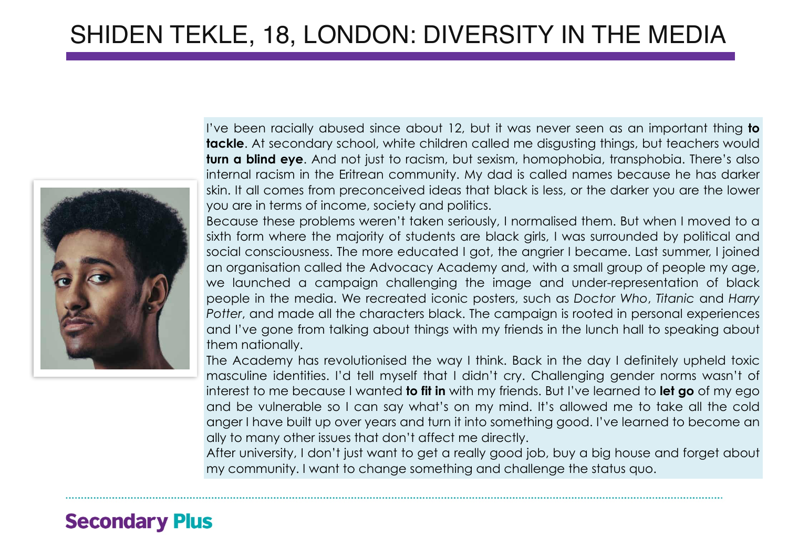# SHIDEN TEKLE, 18, LONDON: DIVERSITY IN THE MEDIA



I've been racially abused since about 12, but it was never seen as an important thing **to tackle**. At secondary school, white children called me disgusting things, but teachers would **turn a blind eye**. And not just to racism, but sexism, homophobia, transphobia. There's also internal racism in the Eritrean community. My dad is called names because he has darker skin. It all comes from preconceived ideas that black is less, or the darker you are the lower you are in terms of income, society and politics.

Because these problems weren't taken seriously, I normalised them. But when I moved to a sixth form where the majority of students are black girls, I was surrounded by political and social consciousness. The more educated I got, the angrier I became. Last summer, I joined an organisation called the Advocacy Academy and, with a small group of people my age, we launched a campaign challenging the image and under-representation of black people in the media. We recreated iconic posters, such as *Doctor Who*, *Titanic* and *Harry Potter*, and made all the characters black. The campaign is rooted in personal experiences and I've gone from talking about things with my friends in the lunch hall to speaking about them nationally.

The Academy has revolutionised the way I think. Back in the day I definitely upheld toxic masculine identities. I'd tell myself that I didn't cry. Challenging gender norms wasn't of interest to me because I wanted **to fit in** with my friends. But I've learned to **let go** of my ego and be vulnerable so I can say what's on my mind. It's allowed me to take all the cold anger I have built up over years and turn it into something good. I've learned to become an ally to many other issues that don't affect me directly.

After university, I don't just want to get a really good job, buy a big house and forget about my community. I want to change something and challenge the status quo.